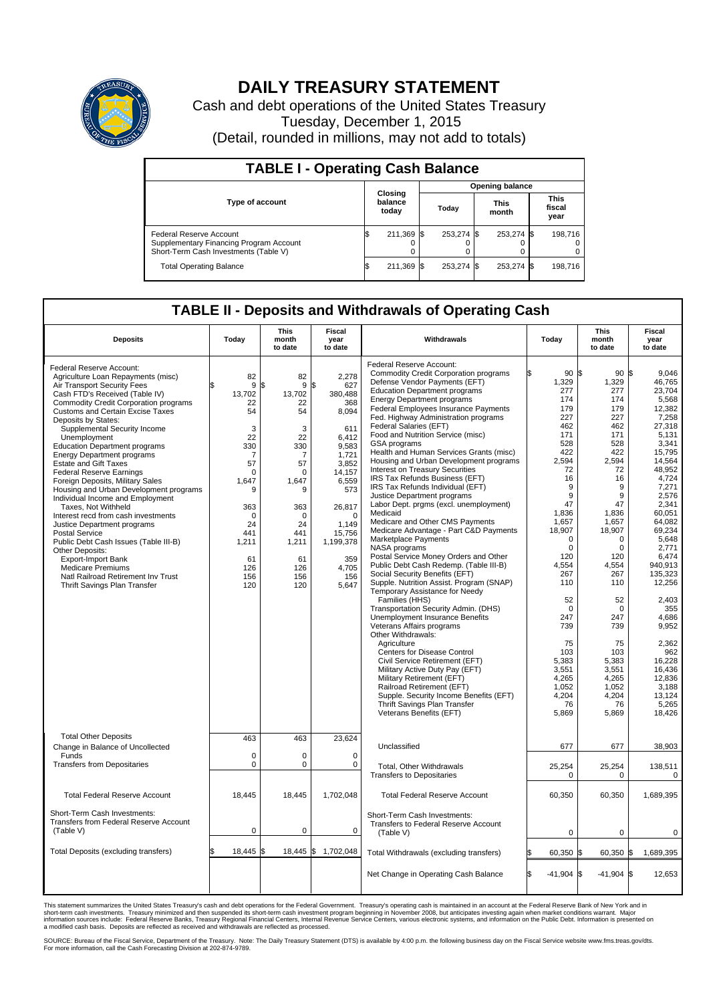

## **DAILY TREASURY STATEMENT**

Cash and debt operations of the United States Treasury Tuesday, December 1, 2015 (Detail, rounded in millions, may not add to totals)

| <b>TABLE I - Operating Cash Balance</b>                                                                     |  |                             |       |                        |                      |            |                               |         |  |  |  |
|-------------------------------------------------------------------------------------------------------------|--|-----------------------------|-------|------------------------|----------------------|------------|-------------------------------|---------|--|--|--|
|                                                                                                             |  |                             |       | <b>Opening balance</b> |                      |            |                               |         |  |  |  |
| <b>Type of account</b>                                                                                      |  | Closing<br>balance<br>today | Today |                        | <b>This</b><br>month |            | <b>This</b><br>fiscal<br>year |         |  |  |  |
| Federal Reserve Account<br>Supplementary Financing Program Account<br>Short-Term Cash Investments (Table V) |  | 211,369 \$                  |       | 253.274 \$             |                      | 253,274 \$ |                               | 198.716 |  |  |  |
| <b>Total Operating Balance</b>                                                                              |  | 211,369 \$                  |       | 253.274 \$             |                      | 253,274 \$ |                               | 198,716 |  |  |  |

## **TABLE II - Deposits and Withdrawals of Operating Cash**

| <b>Deposits</b>                                                                                                                                                                                                                                                                                                                                                                                                                                                                                                                                                                                                                                                                                                                                                                                                                                                                      | Today                                                                                                                                                                       | <b>This</b><br>month<br>to date                                                                                                                         | <b>Fiscal</b><br>year<br>to date                                                                                                                                                                            | Withdrawals                                                                                                                                                                                                                                                                                                                                                                                                                                                                                                                                                                                                                                                                                                                                                                                                                                                                                                                                                                                                                                                                                                                                                                                                                                                                                                                                                                                                      | Today                                                                                                                                                                                                                                                                                                   | <b>This</b><br>month<br>to date                                                                                                                                                                                                                                                                  | <b>Fiscal</b><br>year<br>to date                                                                                                                                                                                                                                                                                                                                   |
|--------------------------------------------------------------------------------------------------------------------------------------------------------------------------------------------------------------------------------------------------------------------------------------------------------------------------------------------------------------------------------------------------------------------------------------------------------------------------------------------------------------------------------------------------------------------------------------------------------------------------------------------------------------------------------------------------------------------------------------------------------------------------------------------------------------------------------------------------------------------------------------|-----------------------------------------------------------------------------------------------------------------------------------------------------------------------------|---------------------------------------------------------------------------------------------------------------------------------------------------------|-------------------------------------------------------------------------------------------------------------------------------------------------------------------------------------------------------------|------------------------------------------------------------------------------------------------------------------------------------------------------------------------------------------------------------------------------------------------------------------------------------------------------------------------------------------------------------------------------------------------------------------------------------------------------------------------------------------------------------------------------------------------------------------------------------------------------------------------------------------------------------------------------------------------------------------------------------------------------------------------------------------------------------------------------------------------------------------------------------------------------------------------------------------------------------------------------------------------------------------------------------------------------------------------------------------------------------------------------------------------------------------------------------------------------------------------------------------------------------------------------------------------------------------------------------------------------------------------------------------------------------------|---------------------------------------------------------------------------------------------------------------------------------------------------------------------------------------------------------------------------------------------------------------------------------------------------------|--------------------------------------------------------------------------------------------------------------------------------------------------------------------------------------------------------------------------------------------------------------------------------------------------|--------------------------------------------------------------------------------------------------------------------------------------------------------------------------------------------------------------------------------------------------------------------------------------------------------------------------------------------------------------------|
| Federal Reserve Account:<br>Agriculture Loan Repayments (misc)<br>Air Transport Security Fees<br>Cash FTD's Received (Table IV)<br><b>Commodity Credit Corporation programs</b><br><b>Customs and Certain Excise Taxes</b><br>Deposits by States:<br>Supplemental Security Income<br>Unemployment<br><b>Education Department programs</b><br><b>Energy Department programs</b><br><b>Estate and Gift Taxes</b><br><b>Federal Reserve Earnings</b><br>Foreign Deposits, Military Sales<br>Housing and Urban Development programs<br>Individual Income and Employment<br>Taxes. Not Withheld<br>Interest recd from cash investments<br>Justice Department programs<br><b>Postal Service</b><br>Public Debt Cash Issues (Table III-B)<br>Other Deposits:<br><b>Export-Import Bank</b><br><b>Medicare Premiums</b><br>Natl Railroad Retirement Inv Trust<br>Thrift Savings Plan Transfer | 82<br>9<br>13,702<br>22<br>54<br>3<br>22<br>330<br>$\overline{7}$<br>57<br>$\mathbf 0$<br>1.647<br>9<br>363<br>$\mathbf 0$<br>24<br>441<br>1,211<br>61<br>126<br>156<br>120 | 82<br>\$<br>9<br>13,702<br>22<br>54<br>3<br>22<br>330<br>7<br>57<br>$\Omega$<br>1,647<br>9<br>363<br>0<br>24<br>441<br>1,211<br>61<br>126<br>156<br>120 | 2,278<br>627<br>\$<br>380,488<br>368<br>8,094<br>611<br>6,412<br>9,583<br>1,721<br>3,852<br>14,157<br>6,559<br>573<br>26,817<br>$\mathbf 0$<br>1,149<br>15,756<br>1,199,378<br>359<br>4,705<br>156<br>5,647 | Federal Reserve Account:<br><b>Commodity Credit Corporation programs</b><br>Defense Vendor Payments (EFT)<br><b>Education Department programs</b><br><b>Energy Department programs</b><br>Federal Employees Insurance Payments<br>Fed. Highway Administration programs<br>Federal Salaries (EFT)<br>Food and Nutrition Service (misc)<br>GSA programs<br>Health and Human Services Grants (misc)<br>Housing and Urban Development programs<br>Interest on Treasury Securities<br>IRS Tax Refunds Business (EFT)<br>IRS Tax Refunds Individual (EFT)<br>Justice Department programs<br>Labor Dept. prgms (excl. unemployment)<br>Medicaid<br>Medicare and Other CMS Payments<br>Medicare Advantage - Part C&D Payments<br>Marketplace Payments<br>NASA programs<br>Postal Service Money Orders and Other<br>Public Debt Cash Redemp. (Table III-B)<br>Social Security Benefits (EFT)<br>Supple. Nutrition Assist. Program (SNAP)<br>Temporary Assistance for Needy<br>Families (HHS)<br>Transportation Security Admin. (DHS)<br><b>Unemployment Insurance Benefits</b><br>Veterans Affairs programs<br>Other Withdrawals:<br>Agriculture<br><b>Centers for Disease Control</b><br>Civil Service Retirement (EFT)<br>Military Active Duty Pay (EFT)<br>Military Retirement (EFT)<br>Railroad Retirement (EFT)<br>Supple. Security Income Benefits (EFT)<br>Thrift Savings Plan Transfer<br>Veterans Benefits (EFT) | 90S<br>1,329<br>277<br>174<br>179<br>227<br>462<br>171<br>528<br>422<br>2,594<br>72<br>16<br>9<br>9<br>47<br>1,836<br>1,657<br>18,907<br>$\Omega$<br>$\mathbf 0$<br>120<br>4,554<br>267<br>110<br>52<br>$\Omega$<br>247<br>739<br>75<br>103<br>5,383<br>3,551<br>4,265<br>1,052<br>4.204<br>76<br>5,869 | 90S<br>1,329<br>277<br>174<br>179<br>227<br>462<br>171<br>528<br>422<br>2,594<br>72<br>16<br>9<br>9<br>47<br>1,836<br>1,657<br>18,907<br>$\Omega$<br>0<br>120<br>4,554<br>267<br>110<br>52<br>$\mathbf 0$<br>247<br>739<br>75<br>103<br>5,383<br>3,551<br>4,265<br>1,052<br>4,204<br>76<br>5,869 | 9.046<br>46,765<br>23,704<br>5,568<br>12,382<br>7,258<br>27,318<br>5,131<br>3,341<br>15.795<br>14,564<br>48.952<br>4,724<br>7,271<br>2,576<br>2,341<br>60.051<br>64,082<br>69,234<br>5.648<br>2,771<br>6,474<br>940,913<br>135,323<br>12,256<br>2.403<br>355<br>4.686<br>9,952<br>2,362<br>962<br>16,228<br>16,436<br>12,836<br>3,188<br>13.124<br>5,265<br>18,426 |
| <b>Total Other Deposits</b><br>Change in Balance of Uncollected<br>Funds<br><b>Transfers from Depositaries</b>                                                                                                                                                                                                                                                                                                                                                                                                                                                                                                                                                                                                                                                                                                                                                                       | 463<br>$\mathbf 0$<br>$\mathbf 0$                                                                                                                                           | 463<br>$\mathbf 0$<br>$\mathbf 0$                                                                                                                       | 23,624<br>0<br>$\mathbf 0$                                                                                                                                                                                  | Unclassified                                                                                                                                                                                                                                                                                                                                                                                                                                                                                                                                                                                                                                                                                                                                                                                                                                                                                                                                                                                                                                                                                                                                                                                                                                                                                                                                                                                                     | 677                                                                                                                                                                                                                                                                                                     | 677                                                                                                                                                                                                                                                                                              | 38,903                                                                                                                                                                                                                                                                                                                                                             |
|                                                                                                                                                                                                                                                                                                                                                                                                                                                                                                                                                                                                                                                                                                                                                                                                                                                                                      |                                                                                                                                                                             |                                                                                                                                                         |                                                                                                                                                                                                             | Total, Other Withdrawals<br><b>Transfers to Depositaries</b>                                                                                                                                                                                                                                                                                                                                                                                                                                                                                                                                                                                                                                                                                                                                                                                                                                                                                                                                                                                                                                                                                                                                                                                                                                                                                                                                                     | 25,254<br>0                                                                                                                                                                                                                                                                                             | 25,254<br>0                                                                                                                                                                                                                                                                                      | 138,511<br>$\mathbf 0$                                                                                                                                                                                                                                                                                                                                             |
| <b>Total Federal Reserve Account</b>                                                                                                                                                                                                                                                                                                                                                                                                                                                                                                                                                                                                                                                                                                                                                                                                                                                 | 18,445                                                                                                                                                                      | 18,445                                                                                                                                                  | 1,702,048                                                                                                                                                                                                   | <b>Total Federal Reserve Account</b>                                                                                                                                                                                                                                                                                                                                                                                                                                                                                                                                                                                                                                                                                                                                                                                                                                                                                                                                                                                                                                                                                                                                                                                                                                                                                                                                                                             | 60,350                                                                                                                                                                                                                                                                                                  | 60,350                                                                                                                                                                                                                                                                                           | 1,689,395                                                                                                                                                                                                                                                                                                                                                          |
| Short-Term Cash Investments:<br><b>Transfers from Federal Reserve Account</b><br>(Table V)                                                                                                                                                                                                                                                                                                                                                                                                                                                                                                                                                                                                                                                                                                                                                                                           | $\pmb{0}$                                                                                                                                                                   | $\mathbf 0$                                                                                                                                             | 0                                                                                                                                                                                                           | Short-Term Cash Investments:<br>Transfers to Federal Reserve Account<br>(Table V)                                                                                                                                                                                                                                                                                                                                                                                                                                                                                                                                                                                                                                                                                                                                                                                                                                                                                                                                                                                                                                                                                                                                                                                                                                                                                                                                | $\mathbf 0$                                                                                                                                                                                                                                                                                             | 0                                                                                                                                                                                                                                                                                                | 0                                                                                                                                                                                                                                                                                                                                                                  |
| <b>Total Deposits (excluding transfers)</b>                                                                                                                                                                                                                                                                                                                                                                                                                                                                                                                                                                                                                                                                                                                                                                                                                                          | 18,445                                                                                                                                                                      | ß<br>18,445                                                                                                                                             | \$<br>1,702,048                                                                                                                                                                                             | Total Withdrawals (excluding transfers)                                                                                                                                                                                                                                                                                                                                                                                                                                                                                                                                                                                                                                                                                                                                                                                                                                                                                                                                                                                                                                                                                                                                                                                                                                                                                                                                                                          | 60,350 \$                                                                                                                                                                                                                                                                                               | 60,350 \$                                                                                                                                                                                                                                                                                        | 1,689,395                                                                                                                                                                                                                                                                                                                                                          |
|                                                                                                                                                                                                                                                                                                                                                                                                                                                                                                                                                                                                                                                                                                                                                                                                                                                                                      |                                                                                                                                                                             |                                                                                                                                                         |                                                                                                                                                                                                             | Net Change in Operating Cash Balance                                                                                                                                                                                                                                                                                                                                                                                                                                                                                                                                                                                                                                                                                                                                                                                                                                                                                                                                                                                                                                                                                                                                                                                                                                                                                                                                                                             | $-41,904$ \$                                                                                                                                                                                                                                                                                            | $-41,904$ \$                                                                                                                                                                                                                                                                                     | 12,653                                                                                                                                                                                                                                                                                                                                                             |

This statement summarizes the United States Treasury's cash and debt operations for the Federal Government. Treasury's operating cash is maintained in an account at the Federal Reserve Bank of New York and in<br>short-term ca

SOURCE: Bureau of the Fiscal Service, Department of the Treasury. Note: The Daily Treasury Statement (DTS) is available by 4:00 p.m. the following business day on the Fiscal Service website www.fms.treas.gov/dts.<br>For more